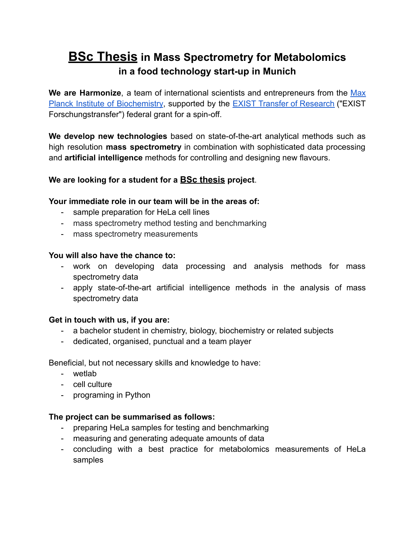# **BSc Thesis in Mass Spectrometry for Metabolomics in a food technology start-up in Munich**

**We are Harmonize**, a team of international scientists and entrepreneurs from the [Max](https://www.biochem.mpg.de/en) Planck Institute of [Biochemistry,](https://www.biochem.mpg.de/en) supported by the **EXIST Transfer of [Research](https://www.exist.de/EXIST/Navigation/EN/Start-upFunding/EXIST-TransferOfResearch/exist-transfer-of-research.html)** ("EXIST Forschungstransfer") federal grant for a spin-off.

**We develop new technologies** based on state-of-the-art analytical methods such as high resolution **mass spectrometry** in combination with sophisticated data processing and **artificial intelligence** methods for controlling and designing new flavours.

## **We are looking for a student for a BSc thesis project**.

### **Your immediate role in our team will be in the areas of:**

- sample preparation for HeLa cell lines
- mass spectrometry method testing and benchmarking
- mass spectrometry measurements

#### **You will also have the chance to:**

- work on developing data processing and analysis methods for mass spectrometry data
- apply state-of-the-art artificial intelligence methods in the analysis of mass spectrometry data

## **Get in touch with us, if you are:**

- a bachelor student in chemistry, biology, biochemistry or related subjects
- dedicated, organised, punctual and a team player

Beneficial, but not necessary skills and knowledge to have:

- wetlab
- cell culture
- programing in Python

#### **The project can be summarised as follows:**

- preparing HeLa samples for testing and benchmarking
- measuring and generating adequate amounts of data
- concluding with a best practice for metabolomics measurements of HeLa samples